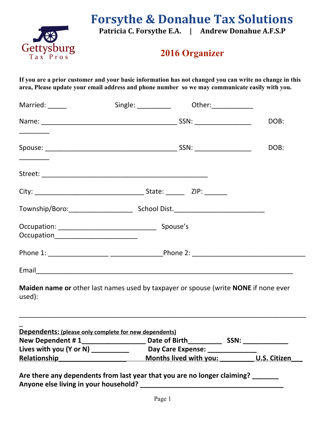

# **Forsythe & Donahue Tax Solutions**

**Patricia C. Forsythe E.A. | Andrew Donahue A.F.S.P**

# **2016 Organizer**

**If you are a prior customer and your basic information has not changed you can write no change in this area, Please update your email address and phone number so we may communicate easily with you.**

| Married: ______                                                                                                                                                                                                                                                                                                |                                                                                     | Single: ___________ Other: __________ |              |
|----------------------------------------------------------------------------------------------------------------------------------------------------------------------------------------------------------------------------------------------------------------------------------------------------------------|-------------------------------------------------------------------------------------|---------------------------------------|--------------|
|                                                                                                                                                                                                                                                                                                                |                                                                                     |                                       | DOB:         |
|                                                                                                                                                                                                                                                                                                                |                                                                                     |                                       | DOB:         |
|                                                                                                                                                                                                                                                                                                                |                                                                                     |                                       |              |
|                                                                                                                                                                                                                                                                                                                |                                                                                     |                                       |              |
|                                                                                                                                                                                                                                                                                                                |                                                                                     |                                       |              |
| Occupation___________________________                                                                                                                                                                                                                                                                          |                                                                                     |                                       |              |
|                                                                                                                                                                                                                                                                                                                |                                                                                     |                                       |              |
|                                                                                                                                                                                                                                                                                                                |                                                                                     |                                       |              |
| used):                                                                                                                                                                                                                                                                                                         | Maiden name or other last names used by taxpayer or spouse (write NONE if none ever |                                       |              |
|                                                                                                                                                                                                                                                                                                                | Dependents: (please only complete for new dependents)                               |                                       |              |
| New Dependent # 1____________                                                                                                                                                                                                                                                                                  |                                                                                     | Date of Birth_________<br>SSN:        |              |
| Lives with you (Y or N) $\frac{1}{2}$ $\frac{1}{2}$ $\frac{1}{2}$ $\frac{1}{2}$ $\frac{1}{2}$ $\frac{1}{2}$ $\frac{1}{2}$ $\frac{1}{2}$ $\frac{1}{2}$ $\frac{1}{2}$ $\frac{1}{2}$ $\frac{1}{2}$ $\frac{1}{2}$ $\frac{1}{2}$ $\frac{1}{2}$ $\frac{1}{2}$ $\frac{1}{2}$ $\frac{1}{2}$ $\frac{1}{2}$ $\frac{1}{2$ |                                                                                     | Day Care Expense: __________          |              |
| <b>Relationship</b>                                                                                                                                                                                                                                                                                            |                                                                                     | Months lived with you:                | U.S. Citizen |
| Anyone else living in your household?                                                                                                                                                                                                                                                                          | Are there any dependents from last year that you are no longer claiming? _______    |                                       |              |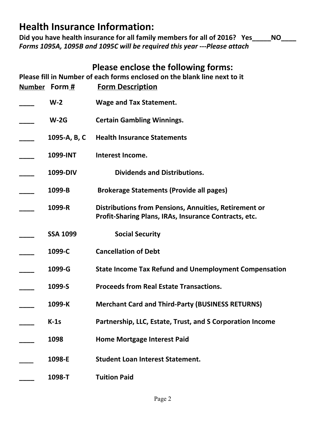# **Health Insurance Information:**

Did you have health insurance for all family members for all of 2016? Yes\_\_\_\_\_NO *Forms 1095A, 1095B and 1095C will be required this year ---Please attach*

## **Please enclose the following forms:**

**Please fill in Number of each forms enclosed on the blank line next to it**

| Number Form #   | <b>Form Description</b>                                                                                               |
|-----------------|-----------------------------------------------------------------------------------------------------------------------|
| $W-2$           | <b>Wage and Tax Statement.</b>                                                                                        |
| $W-2G$          | <b>Certain Gambling Winnings.</b>                                                                                     |
| 1095-A, B, C    | <b>Health Insurance Statements</b>                                                                                    |
| 1099-INT        | Interest Income.                                                                                                      |
| 1099-DIV        | <b>Dividends and Distributions.</b>                                                                                   |
| 1099-B          | <b>Brokerage Statements (Provide all pages)</b>                                                                       |
| 1099-R          | <b>Distributions from Pensions, Annuities, Retirement or</b><br>Profit-Sharing Plans, IRAs, Insurance Contracts, etc. |
| <b>SSA 1099</b> | <b>Social Security</b>                                                                                                |
| 1099-C          | <b>Cancellation of Debt</b>                                                                                           |
| 1099-G          | <b>State Income Tax Refund and Unemployment Compensation</b>                                                          |
| 1099-S          | <b>Proceeds from Real Estate Transactions.</b>                                                                        |
| 1099-K          | <b>Merchant Card and Third-Party (BUSINESS RETURNS)</b>                                                               |
| $K-1s$          | Partnership, LLC, Estate, Trust, and S Corporation Income                                                             |
| 1098            | <b>Home Mortgage Interest Paid</b>                                                                                    |
| 1098-E          | <b>Student Loan Interest Statement.</b>                                                                               |
| 1098-T          | <b>Tuition Paid</b>                                                                                                   |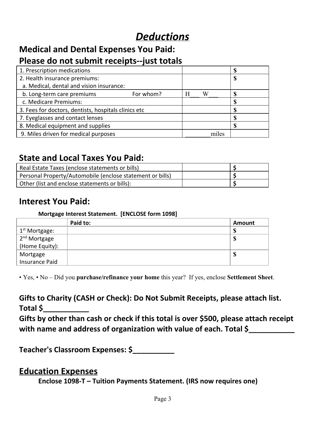# *Deductions*

#### **Medical and Dental Expenses You Paid: Please do not submit receipts--just totals**

| _________________________                            |           |   |       |   |  |
|------------------------------------------------------|-----------|---|-------|---|--|
| 1. Prescription medications                          |           |   |       | œ |  |
| 2. Health insurance premiums:                        |           |   |       | œ |  |
| a. Medical, dental and vision insurance:             |           |   |       |   |  |
| b. Long-term care premiums                           | For whom? | Н | W     |   |  |
| c. Medicare Premiums:                                |           |   |       |   |  |
| 3. Fees for doctors, dentists, hospitals clinics etc |           |   |       |   |  |
| 7. Eyeglasses and contact lenses                     |           |   |       | œ |  |
| 8. Medical equipment and supplies                    |           |   |       |   |  |
| 9. Miles driven for medical purposes                 |           |   | miles |   |  |

### **State and Local Taxes You Paid:**

| Real Estate Taxes (enclose statements or bills)           |  |
|-----------------------------------------------------------|--|
| Personal Property/Automobile (enclose statement or bills) |  |
| Other (list and enclose statements or bills):             |  |

## **Interest You Paid:**

#### **Mortgage Interest Statement. [ENCLOSE form 1098]**

|                                            | Paid to: | Amount |
|--------------------------------------------|----------|--------|
| . 1 <sup>st</sup> Mortgage:                |          | Œ      |
| 2 <sup>nd</sup> Mortgage<br>(Home Equity): |          | 0<br>D |
|                                            |          |        |
|                                            |          | D      |
| Mortgage<br>Insurance Paid                 |          |        |

• Yes, • No – Did you **purchase/refinance your home** this year? If yes, enclose **Settlement Sheet**.

**Gifts to Charity (CASH or Check): Do Not Submit Receipts, please attach list. Total \$\_\_\_\_\_\_\_\_\_\_\_**

**Gifts by other than cash or check if this total is over \$500, please attach receipt with name and address of organization with value of each. Total \$\_\_\_\_\_\_\_\_\_\_\_**

**Teacher's Classroom Expenses: \$\_\_\_\_\_\_\_\_\_\_**

### **Education Expenses**

**Enclose 1098-T – Tuition Payments Statement. (IRS now requires one)**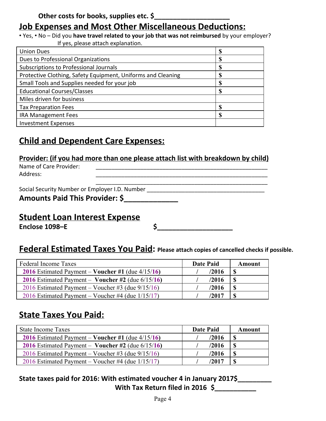# **Job Expenses and Most Other Miscellaneous Deductions:**

• Yes, • No – Did you **have travel related to your job that was not reimbursed** by your employer? If yes, please attach explanation.

| <b>Union Dues</b>                                            |   |
|--------------------------------------------------------------|---|
| Dues to Professional Organizations                           |   |
| Subscriptions to Professional Journals                       |   |
| Protective Clothing, Safety Equipment, Uniforms and Cleaning |   |
| Small Tools and Supplies needed for your job                 |   |
| <b>Educational Courses/Classes</b>                           |   |
| Miles driven for business                                    |   |
| <b>Tax Preparation Fees</b>                                  | Ф |
| <b>IRA Management Fees</b>                                   | S |
| <b>Investment Expenses</b>                                   |   |

# **Child and Dependent Care Expenses:**

**Provider: (if you had more than one please attach list with breakdown by child)**

Name of Care Provider: **We are all that the end of Care Provider:** Address: \_\_\_\_\_\_\_\_\_\_\_\_\_\_\_\_\_\_\_\_\_\_\_\_\_\_\_\_\_\_\_\_\_\_\_\_\_\_\_\_\_\_\_\_\_\_\_\_\_\_\_\_\_\_

\_\_\_\_\_\_\_\_\_\_\_\_\_\_\_\_\_\_\_\_\_\_\_\_\_\_\_\_\_\_\_\_\_\_\_\_\_\_\_\_\_\_\_\_\_\_\_\_\_\_\_\_\_\_ Social Security Number or Employer I.D. Number \_\_\_\_\_\_\_\_\_\_\_\_\_\_\_\_\_\_\_\_\_\_\_\_\_\_\_\_\_\_\_\_\_

|  |  |  | Amounts Paid This Provider: \$ |  |  |
|--|--|--|--------------------------------|--|--|
|--|--|--|--------------------------------|--|--|

# **Student Loan Interest Expense**

**Enclose 1098–E \$\_\_\_\_\_\_\_\_\_\_\_\_\_\_\_\_\_\_\_\_**

## **Federal Estimated Taxes You Paid: Please attach copies of cancelled checks if possible.**

| Federal Income Taxes                                 | <b>Date Paid</b> | Amount       |
|------------------------------------------------------|------------------|--------------|
| 2016 Estimated Payment – Voucher #1 (due $4/15/16$ ) | /2016            | <sup>S</sup> |
| 2016 Estimated Payment – Voucher #2 (due $6/15/16$ ) | /2016            | <b>S</b>     |
| 2016 Estimated Payment – Voucher #3 (due $9/15/16$ ) | /2016            | -S           |
| 2016 Estimated Payment – Voucher #4 (due $1/15/17$ ) | /2017            | - \$         |

# **State Taxes You Paid:**

| <b>State Income Taxes</b>                            | <b>Date Paid</b> | Amount      |
|------------------------------------------------------|------------------|-------------|
| 2016 Estimated Payment – Voucher #1 (due $4/15/16$ ) | /2016            | <b>S</b>    |
| 2016 Estimated Payment – Voucher #2 (due $6/15/16$ ) | /2016            | -S          |
| 2016 Estimated Payment – Voucher #3 (due $9/15/16$ ) | /2016            | <b>S</b>    |
| 2016 Estimated Payment – Voucher #4 (due $1/15/17$ ) | /2017            | $\mathbf S$ |

### **State taxes paid for 2016: With estimated voucher 4 in January 2017\$\_\_\_\_\_\_\_\_\_ With Tax Return filed in 2016 \$\_\_\_\_\_\_\_\_\_\_\_**